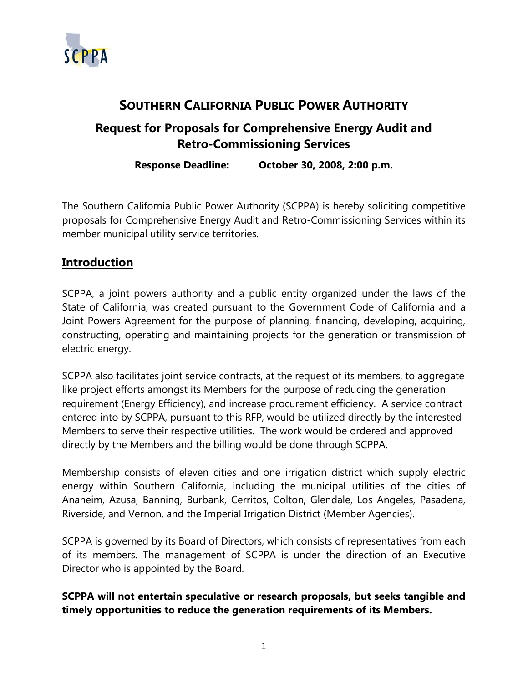

# **SOUTHERN CALIFORNIA PUBLIC POWER AUTHORITY**

# **Request for Proposals for Comprehensive Energy Audit and Retro-Commissioning Services**

**Response Deadline: October 30, 2008, 2:00 p.m.** 

The Southern California Public Power Authority (SCPPA) is hereby soliciting competitive proposals for Comprehensive Energy Audit and Retro-Commissioning Services within its member municipal utility service territories.

## **Introduction**

SCPPA, a joint powers authority and a public entity organized under the laws of the State of California, was created pursuant to the Government Code of California and a Joint Powers Agreement for the purpose of planning, financing, developing, acquiring, constructing, operating and maintaining projects for the generation or transmission of electric energy.

SCPPA also facilitates joint service contracts, at the request of its members, to aggregate like project efforts amongst its Members for the purpose of reducing the generation requirement (Energy Efficiency), and increase procurement efficiency. A service contract entered into by SCPPA, pursuant to this RFP, would be utilized directly by the interested Members to serve their respective utilities. The work would be ordered and approved directly by the Members and the billing would be done through SCPPA.

Membership consists of eleven cities and one irrigation district which supply electric energy within Southern California, including the municipal utilities of the cities of Anaheim, Azusa, Banning, Burbank, Cerritos, Colton, Glendale, Los Angeles, Pasadena, Riverside, and Vernon, and the Imperial Irrigation District (Member Agencies).

SCPPA is governed by its Board of Directors, which consists of representatives from each of its members. The management of SCPPA is under the direction of an Executive Director who is appointed by the Board.

**SCPPA will not entertain speculative or research proposals, but seeks tangible and timely opportunities to reduce the generation requirements of its Members.**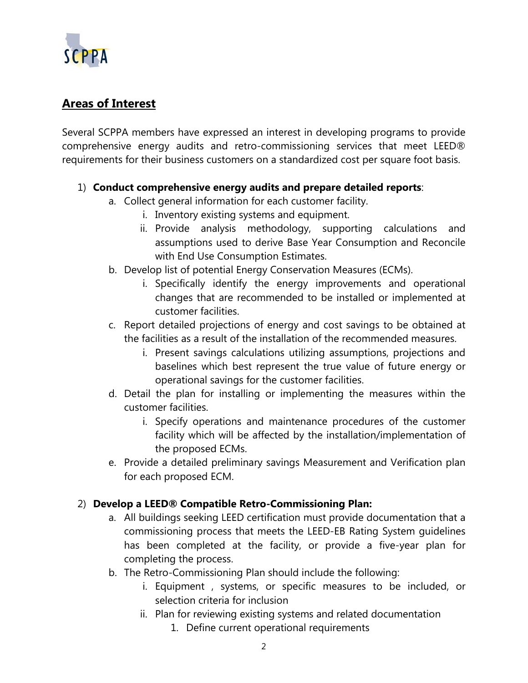

# **Areas of Interest**

Several SCPPA members have expressed an interest in developing programs to provide comprehensive energy audits and retro-commissioning services that meet LEED® requirements for their business customers on a standardized cost per square foot basis.

#### 1) **Conduct comprehensive energy audits and prepare detailed reports**:

- a. Collect general information for each customer facility.
	- i. Inventory existing systems and equipment.
	- ii. Provide analysis methodology, supporting calculations and assumptions used to derive Base Year Consumption and Reconcile with End Use Consumption Estimates.
- b. Develop list of potential Energy Conservation Measures (ECMs).
	- i. Specifically identify the energy improvements and operational changes that are recommended to be installed or implemented at customer facilities.
- c. Report detailed projections of energy and cost savings to be obtained at the facilities as a result of the installation of the recommended measures.
	- i. Present savings calculations utilizing assumptions, projections and baselines which best represent the true value of future energy or operational savings for the customer facilities.
- d. Detail the plan for installing or implementing the measures within the customer facilities.
	- i. Specify operations and maintenance procedures of the customer facility which will be affected by the installation/implementation of the proposed ECMs.
- e. Provide a detailed preliminary savings Measurement and Verification plan for each proposed ECM.

#### 2) **Develop a LEED® Compatible Retro-Commissioning Plan:**

- a. All buildings seeking LEED certification must provide documentation that a commissioning process that meets the LEED-EB Rating System guidelines has been completed at the facility, or provide a five-year plan for completing the process.
- b. The Retro-Commissioning Plan should include the following:
	- i. Equipment , systems, or specific measures to be included, or selection criteria for inclusion
	- ii. Plan for reviewing existing systems and related documentation
		- 1. Define current operational requirements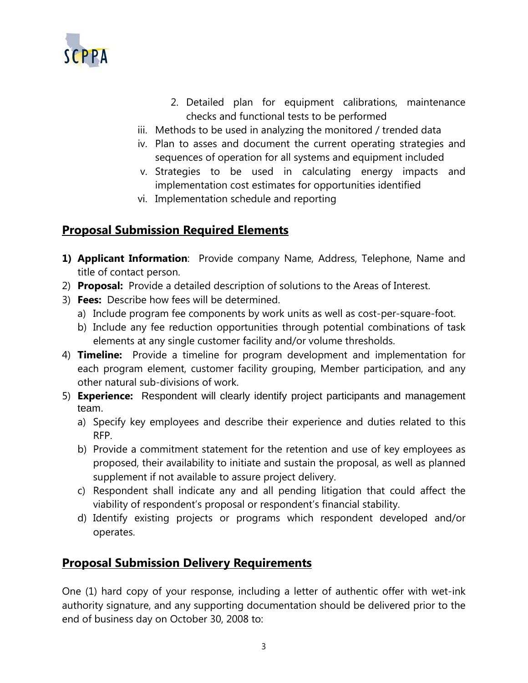

- 2. Detailed plan for equipment calibrations, maintenance checks and functional tests to be performed
- iii. Methods to be used in analyzing the monitored / trended data
- iv. Plan to asses and document the current operating strategies and sequences of operation for all systems and equipment included
- v. Strategies to be used in calculating energy impacts and implementation cost estimates for opportunities identified
- vi. Implementation schedule and reporting

### **Proposal Submission Required Elements**

- **1) Applicant Information**: Provide company Name, Address, Telephone, Name and title of contact person.
- 2) **Proposal:** Provide a detailed description of solutions to the Areas of Interest.
- 3) **Fees:** Describe how fees will be determined.
	- a) Include program fee components by work units as well as cost-per-square-foot.
	- b) Include any fee reduction opportunities through potential combinations of task elements at any single customer facility and/or volume thresholds.
- 4) **Timeline:** Provide a timeline for program development and implementation for each program element, customer facility grouping, Member participation, and any other natural sub-divisions of work.
- 5) **Experience:** Respondent will clearly identify project participants and management team.
	- a) Specify key employees and describe their experience and duties related to this RFP.
	- b) Provide a commitment statement for the retention and use of key employees as proposed, their availability to initiate and sustain the proposal, as well as planned supplement if not available to assure project delivery.
	- c) Respondent shall indicate any and all pending litigation that could affect the viability of respondent's proposal or respondent's financial stability.
	- d) Identify existing projects or programs which respondent developed and/or operates.

### **Proposal Submission Delivery Requirements**

One (1) hard copy of your response, including a letter of authentic offer with wet-ink authority signature, and any supporting documentation should be delivered prior to the end of business day on October 30, 2008 to: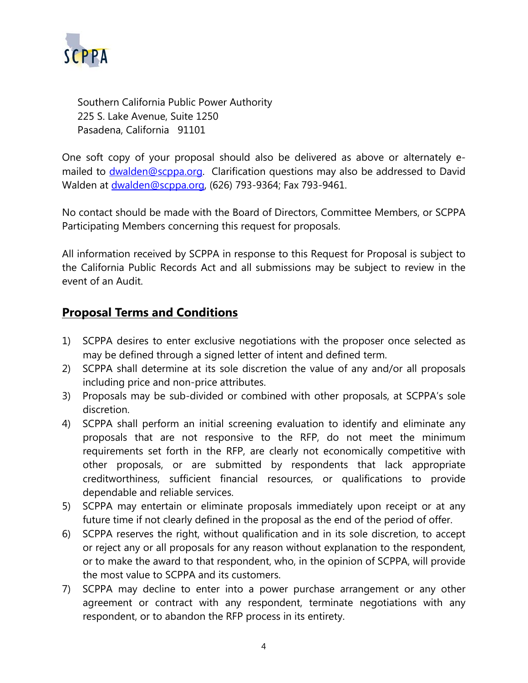

Southern California Public Power Authority 225 S. Lake Avenue, Suite 1250 Pasadena, California 91101

One soft copy of your proposal should also be delivered as above or alternately emailed to [dwalden@scppa.org.](mailto:dwalden@scppa.org) Clarification questions may also be addressed to David Walden at [dwalden@scppa.org](mailto:dwalden@scppa.org), (626) 793-9364; Fax 793-9461.

No contact should be made with the Board of Directors, Committee Members, or SCPPA Participating Members concerning this request for proposals.

All information received by SCPPA in response to this Request for Proposal is subject to the California Public Records Act and all submissions may be subject to review in the event of an Audit.

### **Proposal Terms and Conditions**

- 1) SCPPA desires to enter exclusive negotiations with the proposer once selected as may be defined through a signed letter of intent and defined term.
- 2) SCPPA shall determine at its sole discretion the value of any and/or all proposals including price and non-price attributes.
- 3) Proposals may be sub-divided or combined with other proposals, at SCPPA's sole discretion.
- 4) SCPPA shall perform an initial screening evaluation to identify and eliminate any proposals that are not responsive to the RFP, do not meet the minimum requirements set forth in the RFP, are clearly not economically competitive with other proposals, or are submitted by respondents that lack appropriate creditworthiness, sufficient financial resources, or qualifications to provide dependable and reliable services.
- 5) SCPPA may entertain or eliminate proposals immediately upon receipt or at any future time if not clearly defined in the proposal as the end of the period of offer.
- 6) SCPPA reserves the right, without qualification and in its sole discretion, to accept or reject any or all proposals for any reason without explanation to the respondent, or to make the award to that respondent, who, in the opinion of SCPPA, will provide the most value to SCPPA and its customers.
- 7) SCPPA may decline to enter into a power purchase arrangement or any other agreement or contract with any respondent, terminate negotiations with any respondent, or to abandon the RFP process in its entirety.